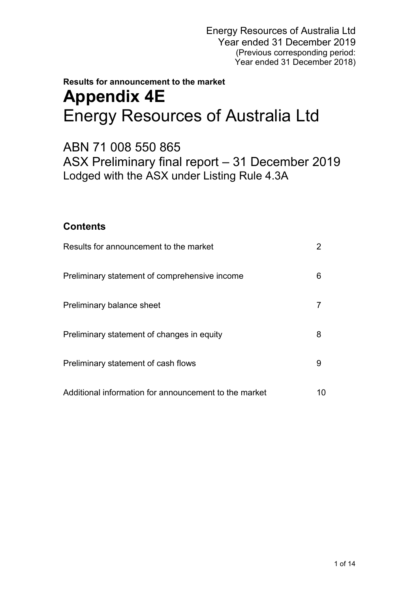# **Results for announcement to the market Appendix 4E** Energy Resources of Australia Ltd

ABN 71 008 550 865 ASX Preliminary final report – 31 December 2019 Lodged with the ASX under Listing Rule 4.3A

## **Contents**

| Results for announcement to the market                |    |
|-------------------------------------------------------|----|
| Preliminary statement of comprehensive income         | 6  |
| Preliminary balance sheet                             |    |
| Preliminary statement of changes in equity            | 8  |
| Preliminary statement of cash flows                   | 9  |
| Additional information for announcement to the market | 10 |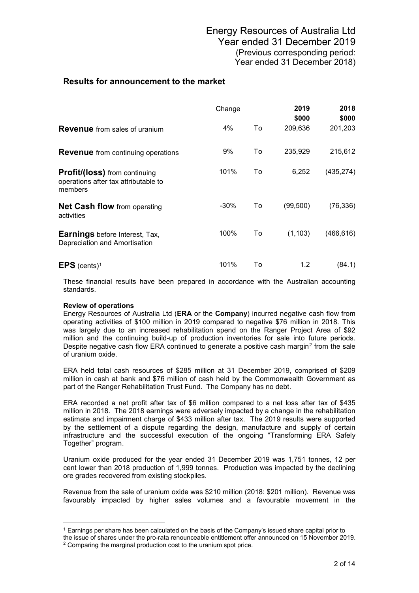## **Results for announcement to the market**

|                                                                                         | Change  |    | 2019<br>\$000 | 2018             |
|-----------------------------------------------------------------------------------------|---------|----|---------------|------------------|
| <b>Revenue</b> from sales of uranium                                                    | 4%      | To | 209,636       | \$000<br>201,203 |
| <b>Revenue</b> from continuing operations                                               | 9%      | To | 235,929       | 215,612          |
| <b>Profit/(loss)</b> from continuing<br>operations after tax attributable to<br>members | 101%    | To | 6,252         | (435, 274)       |
| <b>Net Cash flow</b> from operating<br>activities                                       | $-30\%$ | To | (99, 500)     | (76,336)         |
| <b>Earnings</b> before Interest, Tax,<br>Depreciation and Amortisation                  | 100%    | To | (1, 103)      | (466, 616)       |
| <b>EPS</b> (cents) <sup>1</sup>                                                         | 101%    | To | 1.2           | (84.1)           |

These financial results have been prepared in accordance with the Australian accounting standards.

### **Review of operations**

<u>.</u>

Energy Resources of Australia Ltd (**ERA** or the **Company**) incurred negative cash flow from operating activities of \$100 million in 2019 compared to negative \$76 million in 2018. This was largely due to an increased rehabilitation spend on the Ranger Project Area of \$92 million and the continuing build-up of production inventories for sale into future periods. Despite negative cash flow ERA continued to generate a positive cash margin<sup>[2](#page-1-1)</sup> from the sale of uranium oxide.

ERA held total cash resources of \$285 million at 31 December 2019, comprised of \$209 million in cash at bank and \$76 million of cash held by the Commonwealth Government as part of the Ranger Rehabilitation Trust Fund. The Company has no debt.

ERA recorded a net profit after tax of \$6 million compared to a net loss after tax of \$435 million in 2018. The 2018 earnings were adversely impacted by a change in the rehabilitation estimate and impairment charge of \$433 million after tax. The 2019 results were supported by the settlement of a dispute regarding the design, manufacture and supply of certain infrastructure and the successful execution of the ongoing "Transforming ERA Safely Together" program.

Uranium oxide produced for the year ended 31 December 2019 was 1,751 tonnes, 12 per cent lower than 2018 production of 1,999 tonnes. Production was impacted by the declining ore grades recovered from existing stockpiles.

Revenue from the sale of uranium oxide was \$210 million (2018: \$201 million). Revenue was favourably impacted by higher sales volumes and a favourable movement in the

<sup>1</sup> Earnings per share has been calculated on the basis of the Company's issued share capital prior to

<span id="page-1-1"></span><span id="page-1-0"></span>the issue of shares under the pro-rata renounceable entitlement offer announced on 15 November 2019. <sup>2</sup> Comparing the marginal production cost to the uranium spot price.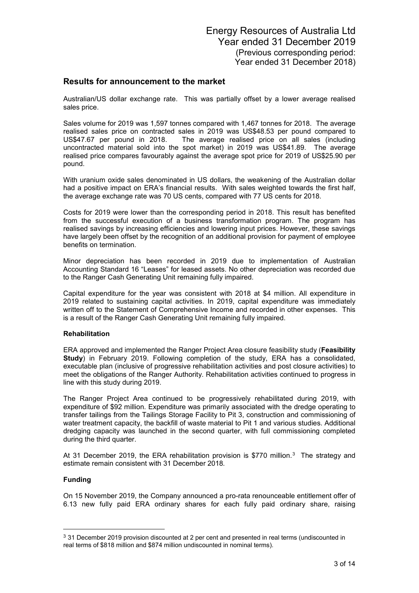## **Results for announcement to the market**

Australian/US dollar exchange rate. This was partially offset by a lower average realised sales price.

Sales volume for 2019 was 1,597 tonnes compared with 1,467 tonnes for 2018. The average realised sales price on contracted sales in 2019 was US\$48.53 per pound compared to US\$47.67 per pound in 2018. The average realised price on all sales (including uncontracted material sold into the spot market) in 2019 was US\$41.89. The average realised price compares favourably against the average spot price for 2019 of US\$25.90 per pound.

With uranium oxide sales denominated in US dollars, the weakening of the Australian dollar had a positive impact on ERA's financial results. With sales weighted towards the first half, the average exchange rate was 70 US cents, compared with 77 US cents for 2018.

Costs for 2019 were lower than the corresponding period in 2018. This result has benefited from the successful execution of a business transformation program. The program has realised savings by increasing efficiencies and lowering input prices. However, these savings have largely been offset by the recognition of an additional provision for payment of employee benefits on termination.

Minor depreciation has been recorded in 2019 due to implementation of Australian Accounting Standard 16 "Leases" for leased assets. No other depreciation was recorded due to the Ranger Cash Generating Unit remaining fully impaired.

Capital expenditure for the year was consistent with 2018 at \$4 million. All expenditure in 2019 related to sustaining capital activities. In 2019, capital expenditure was immediately written off to the Statement of Comprehensive Income and recorded in other expenses. This is a result of the Ranger Cash Generating Unit remaining fully impaired.

### **Rehabilitation**

ERA approved and implemented the Ranger Project Area closure feasibility study (**Feasibility Study**) in February 2019. Following completion of the study, ERA has a consolidated, executable plan (inclusive of progressive rehabilitation activities and post closure activities) to meet the obligations of the Ranger Authority. Rehabilitation activities continued to progress in line with this study during 2019.

The Ranger Project Area continued to be progressively rehabilitated during 2019, with expenditure of \$92 million. Expenditure was primarily associated with the dredge operating to transfer tailings from the Tailings Storage Facility to Pit 3, construction and commissioning of water treatment capacity, the backfill of waste material to Pit 1 and various studies. Additional dredging capacity was launched in the second quarter, with full commissioning completed during the third quarter.

At [3](#page-2-0)1 December 2019, the ERA rehabilitation provision is \$770 million.<sup>3</sup> The strategy and estimate remain consistent with 31 December 2018*.*

### **Funding**

-

On 15 November 2019, the Company announced a pro-rata renounceable entitlement offer of 6.13 new fully paid ERA ordinary shares for each fully paid ordinary share, raising

<span id="page-2-0"></span><sup>3</sup> 31 December 2019 provision discounted at 2 per cent and presented in real terms (undiscounted in real terms of \$818 million and \$874 million undiscounted in nominal terms).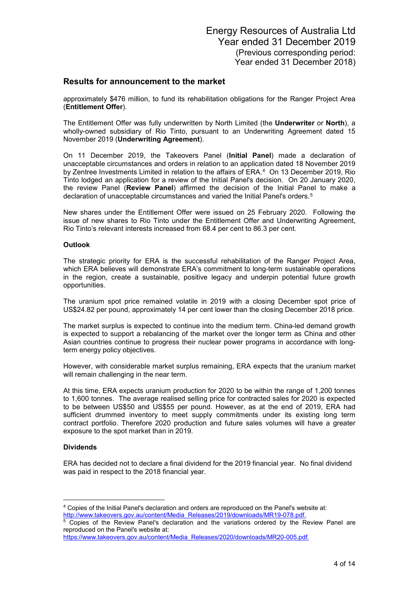### **Results for announcement to the market**

approximately \$476 million, to fund its rehabilitation obligations for the Ranger Project Area (**Entitlement Offer**).

The Entitlement Offer was fully underwritten by North Limited (the **Underwriter** or **North**), a wholly-owned subsidiary of Rio Tinto, pursuant to an Underwriting Agreement dated 15 November 2019 (**Underwriting Agreement**).

On 11 December 2019, the Takeovers Panel (**Initial Panel**) made a declaration of unacceptable circumstances and orders in relation to an application dated 18 November 2019 by Zentree Investments Limited in relation to the affairs of ERA.[4](#page-3-0) On 13 December 2019, Rio Tinto lodged an application for a review of the Initial Panel's decision. On 20 January 2020, the review Panel (**Review Panel**) affirmed the decision of the Initial Panel to make a declaration of unacceptable circumstances and varied the Initial Panel's orders.<sup>[5](#page-3-1)</sup>

New shares under the Entitlement Offer were issued on 25 February 2020. Following the issue of new shares to Rio Tinto under the Entitlement Offer and Underwriting Agreement, Rio Tinto's relevant interests increased from 68.4 per cent to 86.3 per cent.

### **Outlook**

The strategic priority for ERA is the successful rehabilitation of the Ranger Project Area, which ERA believes will demonstrate ERA's commitment to long-term sustainable operations in the region, create a sustainable, positive legacy and underpin potential future growth opportunities.

The uranium spot price remained volatile in 2019 with a closing December spot price of US\$24.82 per pound, approximately 14 per cent lower than the closing December 2018 price.

The market surplus is expected to continue into the medium term. China-led demand growth is expected to support a rebalancing of the market over the longer term as China and other Asian countries continue to progress their nuclear power programs in accordance with longterm energy policy objectives.

However, with considerable market surplus remaining, ERA expects that the uranium market will remain challenging in the near term.

At this time, ERA expects uranium production for 2020 to be within the range of 1,200 tonnes to 1,600 tonnes. The average realised selling price for contracted sales for 2020 is expected to be between US\$50 and US\$55 per pound. However, as at the end of 2019, ERA had sufficient drummed inventory to meet supply commitments under its existing long term contract portfolio. Therefore 2020 production and future sales volumes will have a greater exposure to the spot market than in 2019.

### **Dividends**

<u>.</u>

ERA has decided not to declare a final dividend for the 2019 financial year. No final dividend was paid in respect to the 2018 financial year.

[https://www.takeovers.gov.au/content/Media\\_Releases/2020/downloads/MR20-005.pdf.](https://www.takeovers.gov.au/content/Media_Releases/2020/downloads/MR20-005.pdf)

<span id="page-3-0"></span><sup>4</sup> Copies of the Initial Panel's declaration and orders are reproduced on the Panel's website at: [http://www.takeovers.gov.au/content/Media\\_Releases/2019/downloads/MR19-078.pdf.](http://www.takeovers.gov.au/content/Media_Releases/2019/downloads/MR19-078.pdf)

<span id="page-3-1"></span><sup>5</sup> Copies of the Review Panel's declaration and the variations ordered by the Review Panel are reproduced on the Panel's website at: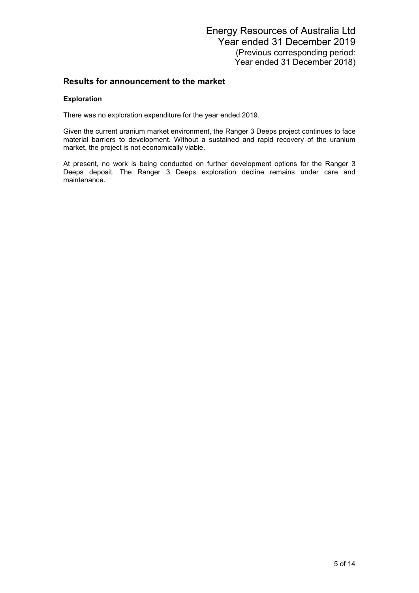## **Results for announcement to the market**

### **Exploration**

There was no exploration expenditure for the year ended 2019.

Given the current uranium market environment, the Ranger 3 Deeps project continues to face material barriers to development. Without a sustained and rapid recovery of the uranium market, the project is not economically viable.

At present, no work is being conducted on further development options for the Ranger 3 Deeps deposit. The Ranger 3 Deeps exploration decline remains under care and maintenance.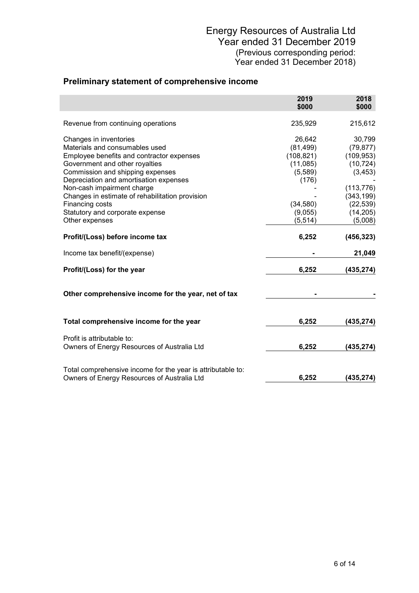## **Preliminary statement of comprehensive income**

|                                                                                                                                                                                                                                                                                                                                                              | 2019<br>\$000                                                                             | 2018<br>\$000                                                                                                    |
|--------------------------------------------------------------------------------------------------------------------------------------------------------------------------------------------------------------------------------------------------------------------------------------------------------------------------------------------------------------|-------------------------------------------------------------------------------------------|------------------------------------------------------------------------------------------------------------------|
| Revenue from continuing operations                                                                                                                                                                                                                                                                                                                           | 235,929                                                                                   | 215,612                                                                                                          |
| Changes in inventories<br>Materials and consumables used<br>Employee benefits and contractor expenses<br>Government and other royalties<br>Commission and shipping expenses<br>Depreciation and amortisation expenses<br>Non-cash impairment charge<br>Changes in estimate of rehabilitation provision<br>Financing costs<br>Statutory and corporate expense | 26,642<br>(81, 499)<br>(108, 821)<br>(11,085)<br>(5,589)<br>(176)<br>(34, 580)<br>(9,055) | 30,799<br>(79, 877)<br>(109, 953)<br>(10, 724)<br>(3, 453)<br>(113, 776)<br>(343, 199)<br>(22, 539)<br>(14, 205) |
| Other expenses                                                                                                                                                                                                                                                                                                                                               | (5, 514)                                                                                  | (5,008)                                                                                                          |
| Profit/(Loss) before income tax<br>Income tax benefit/(expense)<br>Profit/(Loss) for the year                                                                                                                                                                                                                                                                | 6,252<br>6,252                                                                            | (456, 323)<br>21,049<br>(435,274)                                                                                |
| Other comprehensive income for the year, net of tax                                                                                                                                                                                                                                                                                                          |                                                                                           |                                                                                                                  |
| Total comprehensive income for the year                                                                                                                                                                                                                                                                                                                      | 6,252                                                                                     | (435,274)                                                                                                        |
| Profit is attributable to:<br>Owners of Energy Resources of Australia Ltd                                                                                                                                                                                                                                                                                    | 6,252                                                                                     | (435,274)                                                                                                        |
| Total comprehensive income for the year is attributable to:<br>Owners of Energy Resources of Australia Ltd                                                                                                                                                                                                                                                   | 6,252                                                                                     | (435,274)                                                                                                        |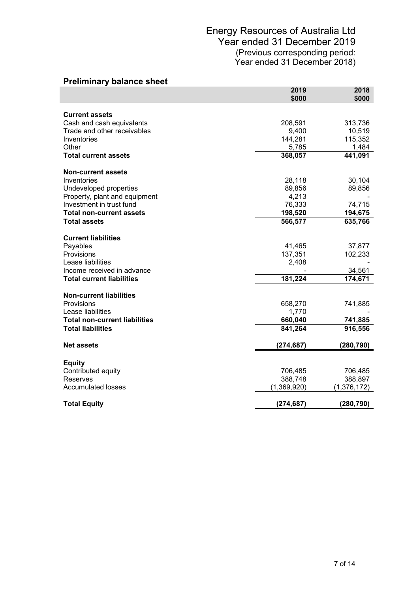| <b>Preliminary balance sheet</b>         |               |                   |
|------------------------------------------|---------------|-------------------|
|                                          | 2019<br>\$000 | 2018<br>\$000     |
| <b>Current assets</b>                    |               |                   |
| Cash and cash equivalents                | 208,591       | 313,736           |
| Trade and other receivables              | 9,400         | 10,519            |
| Inventories                              | 144,281       | 115,352           |
| Other                                    | 5,785         | 1,484             |
| <b>Total current assets</b>              | 368,057       | 441,091           |
|                                          |               |                   |
| <b>Non-current assets</b><br>Inventories | 28,118        | 30,104            |
| Undeveloped properties                   | 89,856        | 89,856            |
| Property, plant and equipment            | 4,213         |                   |
| Investment in trust fund                 | 76,333        | 74,715            |
| <b>Total non-current assets</b>          | 198,520       | 194,675           |
| <b>Total assets</b>                      | 566,577       | 635,766           |
|                                          |               |                   |
| <b>Current liabilities</b>               |               |                   |
| Payables                                 | 41,465        | 37,877            |
| Provisions                               | 137,351       | 102,233           |
| Lease liabilities                        | 2,408         |                   |
| Income received in advance               |               | 34,561<br>174,671 |
| <b>Total current liabilities</b>         | 181,224       |                   |
| <b>Non-current liabilities</b>           |               |                   |
| Provisions                               | 658,270       | 741,885           |
| Lease liabilities                        | 1,770         |                   |
| <b>Total non-current liabilities</b>     | 660,040       | 741,885           |
| <b>Total liabilities</b>                 | 841,264       | 916,556           |
| <b>Net assets</b>                        | (274, 687)    | (280, 790)        |
|                                          |               |                   |
| <b>Equity</b>                            |               |                   |
| Contributed equity                       | 706,485       | 706,485           |
| Reserves                                 | 388,748       | 388,897           |
| <b>Accumulated losses</b>                | (1,369,920)   | (1,376,172)       |
| <b>Total Equity</b>                      | (274, 687)    | (280, 790)        |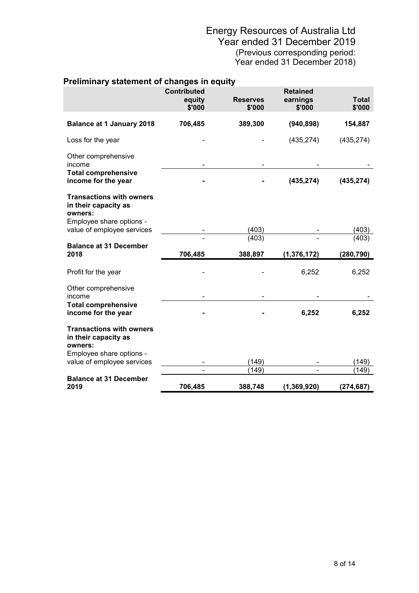|                                                                                                | <b>Contributed</b><br>equity<br>\$'000 | <b>Reserves</b><br>\$'000 | <b>Retained</b><br>earnings<br>\$'000 | <b>Total</b><br>\$'000 |
|------------------------------------------------------------------------------------------------|----------------------------------------|---------------------------|---------------------------------------|------------------------|
| <b>Balance at 1 January 2018</b>                                                               | 706,485                                | 389,300                   | (940, 898)                            | 154,887                |
| Loss for the year                                                                              |                                        |                           | (435, 274)                            | (435, 274)             |
| Other comprehensive<br>income                                                                  |                                        |                           |                                       |                        |
| <b>Total comprehensive</b><br>income for the year                                              |                                        |                           | (435, 274)                            | (435, 274)             |
| <b>Transactions with owners</b><br>in their capacity as<br>owners:                             |                                        |                           |                                       |                        |
| Employee share options -<br>value of employee services                                         |                                        | (403)                     |                                       | (403)                  |
| <b>Balance at 31 December</b><br>2018                                                          | 706,485                                | (403)<br>388,897          | (1, 376, 172)                         | (403)<br>(280, 790)    |
| Profit for the year                                                                            |                                        |                           | 6,252                                 | 6,252                  |
| Other comprehensive<br>income                                                                  |                                        |                           |                                       |                        |
| <b>Total comprehensive</b><br>income for the year                                              |                                        |                           | 6,252                                 | 6,252                  |
| <b>Transactions with owners</b><br>in their capacity as<br>owners:<br>Employee share options - |                                        |                           |                                       |                        |
| value of employee services                                                                     |                                        | (149)                     |                                       | (149)                  |
| <b>Balance at 31 December</b>                                                                  |                                        | (149)                     |                                       | (149)                  |
|                                                                                                |                                        |                           |                                       |                        |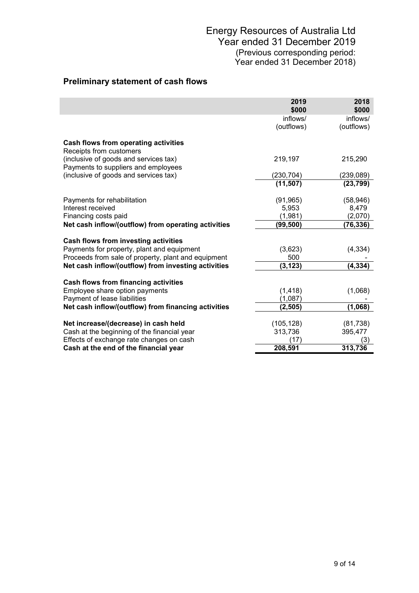## **Preliminary statement of cash flows**

|                                                                              | 2019<br>\$000      | 2018<br>\$000      |
|------------------------------------------------------------------------------|--------------------|--------------------|
|                                                                              | inflows/           | inflows/           |
|                                                                              | (outflows)         | (outflows)         |
| Cash flows from operating activities<br>Receipts from customers              |                    |                    |
| (inclusive of goods and services tax)<br>Payments to suppliers and employees | 219,197            | 215,290            |
| (inclusive of goods and services tax)                                        | (230, 704)         | (239, 089)         |
|                                                                              | (11, 507)          | (23, 799)          |
|                                                                              |                    |                    |
| Payments for rehabilitation<br>Interest received                             | (91, 965)<br>5,953 | (58, 946)<br>8,479 |
| Financing costs paid                                                         | (1,981)            | (2,070)            |
| Net cash inflow/(outflow) from operating activities                          | (99,500)           | (76, 336)          |
|                                                                              |                    |                    |
| Cash flows from investing activities                                         |                    |                    |
| Payments for property, plant and equipment                                   | (3,623)            | (4, 334)           |
| Proceeds from sale of property, plant and equipment                          | 500                |                    |
| Net cash inflow/(outflow) from investing activities                          | (3, 123)           | (4, 334)           |
| Cash flows from financing activities                                         |                    |                    |
| Employee share option payments                                               | (1, 418)           | (1,068)            |
| Payment of lease liabilities                                                 | (1,087)            |                    |
| Net cash inflow/(outflow) from financing activities                          | (2,505)            | (1,068)            |
|                                                                              |                    |                    |
| Net increase/(decrease) in cash held                                         | (105, 128)         | (81, 738)          |
| Cash at the beginning of the financial year                                  | 313,736            | 395,477            |
| Effects of exchange rate changes on cash                                     | (17)<br>208,591    | (3)<br>313,736     |
| Cash at the end of the financial year                                        |                    |                    |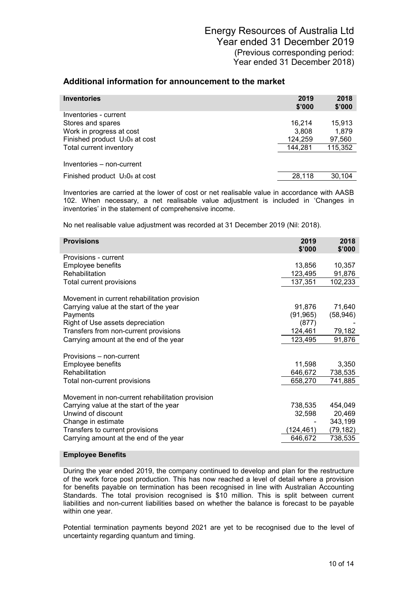| <b>Inventories</b>                                     | 2019<br>\$'000 | 2018<br>\$'000 |
|--------------------------------------------------------|----------------|----------------|
| Inventories - current                                  |                |                |
| Stores and spares                                      | 16.214         | 15.913         |
| Work in progress at cost                               | 3,808          | 1,879          |
| Finished product U <sub>3</sub> 0 <sub>8</sub> at cost | 124,259        | 97,560         |
| Total current inventory                                | 144,281        | 115,352        |
| Inventories - non-current                              |                |                |
| Finished product U <sub>3</sub> 0 <sub>8</sub> at cost | 28,118         | 30.104         |

Inventories are carried at the lower of cost or net realisable value in accordance with AASB 102. When necessary, a net realisable value adjustment is included in 'Changes in inventories' in the statement of comprehensive income.

No net realisable value adjustment was recorded at 31 December 2019 (Nil: 2018).

| <b>Provisions</b>                                | 2019<br>\$'000 | 2018<br>\$'000 |
|--------------------------------------------------|----------------|----------------|
| Provisions - current                             |                |                |
| Employee benefits                                | 13,856         | 10,357         |
| Rehabilitation                                   | 123,495        | 91,876         |
| Total current provisions                         | 137,351        | 102,233        |
| Movement in current rehabilitation provision     |                |                |
| Carrying value at the start of the year          | 91,876         | 71,640         |
| Payments                                         | (91, 965)      | (58, 946)      |
| Right of Use assets depreciation                 | (877)          |                |
| Transfers from non-current provisions            | 124,461        | 79,182         |
| Carrying amount at the end of the year           | 123,495        | 91,876         |
| Provisions – non-current                         |                |                |
| Employee benefits                                | 11,598         | 3,350          |
| Rehabilitation                                   | 646,672        | 738,535        |
| Total non-current provisions                     | 658,270        | 741,885        |
|                                                  |                |                |
| Movement in non-current rehabilitation provision |                |                |
| Carrying value at the start of the year          | 738,535        | 454,049        |
| Unwind of discount                               | 32,598         | 20,469         |
| Change in estimate                               |                | 343,199        |
| Transfers to current provisions                  | (124, 461)     | (79, 182)      |
| Carrying amount at the end of the year           | 646,672        | 738,535        |
|                                                  |                |                |

### **Employee Benefits**

During the year ended 2019, the company continued to develop and plan for the restructure of the work force post production. This has now reached a level of detail where a provision for benefits payable on termination has been recognised in line with Australian Accounting Standards. The total provision recognised is \$10 million. This is split between current liabilities and non-current liabilities based on whether the balance is forecast to be payable within one year.

Potential termination payments beyond 2021 are yet to be recognised due to the level of uncertainty regarding quantum and timing.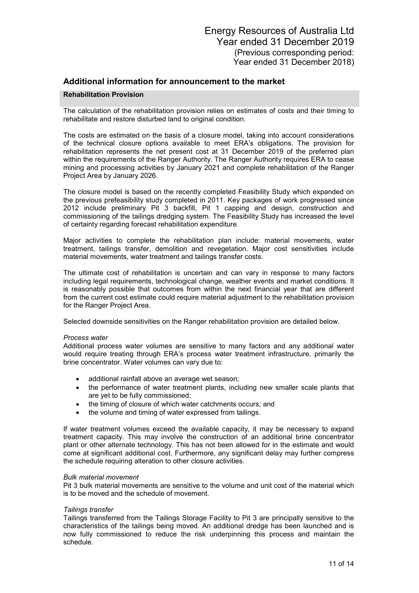#### **Rehabilitation Provision**

The calculation of the rehabilitation provision relies on estimates of costs and their timing to rehabilitate and restore disturbed land to original condition.

The costs are estimated on the basis of a closure model, taking into account considerations of the technical closure options available to meet ERA's obligations. The provision for rehabilitation represents the net present cost at 31 December 2019 of the preferred plan within the requirements of the Ranger Authority. The Ranger Authority requires ERA to cease mining and processing activities by January 2021 and complete rehabilitation of the Ranger Project Area by January 2026.

The closure model is based on the recently completed Feasibility Study which expanded on the previous prefeasibility study completed in 2011. Key packages of work progressed since 2012 include preliminary Pit 3 backfill, Pit 1 capping and design, construction and commissioning of the tailings dredging system. The Feasibility Study has increased the level of certainty regarding forecast rehabilitation expenditure.

Major activities to complete the rehabilitation plan include: material movements, water treatment, tailings transfer, demolition and revegetation. Major cost sensitivities include material movements, water treatment and tailings transfer costs.

The ultimate cost of rehabilitation is uncertain and can vary in response to many factors including legal requirements, technological change, weather events and market conditions. It is reasonably possible that outcomes from within the next financial year that are different from the current cost estimate could require material adjustment to the rehabilitation provision for the Ranger Project Area.

Selected downside sensitivities on the Ranger rehabilitation provision are detailed below.

#### *Process water*

Additional process water volumes are sensitive to many factors and any additional water would require treating through ERA's process water treatment infrastructure, primarily the brine concentrator. Water volumes can vary due to:

- additional rainfall above an average wet season;
- the performance of water treatment plants, including new smaller scale plants that are yet to be fully commissioned;
- the timing of closure of which water catchments occurs; and
- the volume and timing of water expressed from tailings.

If water treatment volumes exceed the available capacity, it may be necessary to expand treatment capacity. This may involve the construction of an additional brine concentrator plant or other alternate technology. This has not been allowed for in the estimate and would come at significant additional cost. Furthermore, any significant delay may further compress the schedule requiring alteration to other closure activities.

#### *Bulk material movement*

Pit 3 bulk material movements are sensitive to the volume and unit cost of the material which is to be moved and the schedule of movement.

#### *Tailings transfer*

Tailings transferred from the Tailings Storage Facility to Pit 3 are principally sensitive to the characteristics of the tailings being moved. An additional dredge has been launched and is now fully commissioned to reduce the risk underpinning this process and maintain the schedule.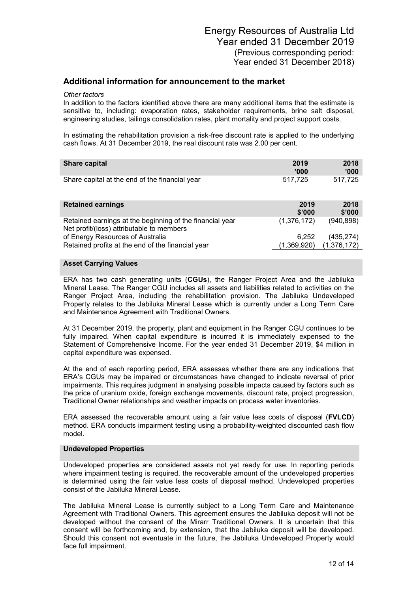#### *Other factors*

In addition to the factors identified above there are many additional items that the estimate is sensitive to, including: evaporation rates, stakeholder requirements, brine salt disposal, engineering studies, tailings consolidation rates, plant mortality and project support costs.

In estimating the rehabilitation provision a risk-free discount rate is applied to the underlying cash flows. At 31 December 2019, the real discount rate was 2.00 per cent.

| Share capital                                  | 2019    | 2018    |
|------------------------------------------------|---------|---------|
|                                                | '000    | '000'   |
| Share capital at the end of the financial year | 517.725 | 517.725 |

| <b>Retained earnings</b>                                                                              | 2019<br>\$'000 | 2018<br>\$'000 |
|-------------------------------------------------------------------------------------------------------|----------------|----------------|
| Retained earnings at the beginning of the financial year<br>Net profit/(loss) attributable to members | (1,376,172)    | (940, 898)     |
| of Energy Resources of Australia                                                                      | 6.252          | (435.274)      |
| Retained profits at the end of the financial year                                                     | (1,369,920)    | (1,376,172)    |

### **Asset Carrying Values**

ERA has two cash generating units (**CGUs**), the Ranger Project Area and the Jabiluka Mineral Lease. The Ranger CGU includes all assets and liabilities related to activities on the Ranger Project Area, including the rehabilitation provision. The Jabiluka Undeveloped Property relates to the Jabiluka Mineral Lease which is currently under a Long Term Care and Maintenance Agreement with Traditional Owners.

At 31 December 2019, the property, plant and equipment in the Ranger CGU continues to be fully impaired. When capital expenditure is incurred it is immediately expensed to the Statement of Comprehensive Income. For the year ended 31 December 2019, \$4 million in capital expenditure was expensed.

At the end of each reporting period, ERA assesses whether there are any indications that ERA's CGUs may be impaired or circumstances have changed to indicate reversal of prior impairments. This requires judgment in analysing possible impacts caused by factors such as the price of uranium oxide, foreign exchange movements, discount rate, project progression, Traditional Owner relationships and weather impacts on process water inventories.

ERA assessed the recoverable amount using a fair value less costs of disposal (**FVLCD**) method. ERA conducts impairment testing using a probability-weighted discounted cash flow model.

### **Undeveloped Properties**

Undeveloped properties are considered assets not yet ready for use. In reporting periods where impairment testing is required, the recoverable amount of the undeveloped properties is determined using the fair value less costs of disposal method. Undeveloped properties consist of the Jabiluka Mineral Lease.

The Jabiluka Mineral Lease is currently subject to a Long Term Care and Maintenance Agreement with Traditional Owners. This agreement ensures the Jabiluka deposit will not be developed without the consent of the Mirarr Traditional Owners. It is uncertain that this consent will be forthcoming and, by extension, that the Jabiluka deposit will be developed. Should this consent not eventuate in the future, the Jabiluka Undeveloped Property would face full impairment.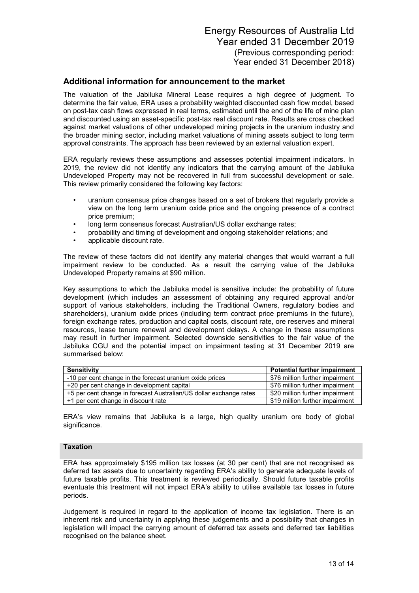The valuation of the Jabiluka Mineral Lease requires a high degree of judgment. To determine the fair value, ERA uses a probability weighted discounted cash flow model, based on post-tax cash flows expressed in real terms, estimated until the end of the life of mine plan and discounted using an asset-specific post-tax real discount rate. Results are cross checked against market valuations of other undeveloped mining projects in the uranium industry and the broader mining sector, including market valuations of mining assets subject to long term approval constraints. The approach has been reviewed by an external valuation expert.

ERA regularly reviews these assumptions and assesses potential impairment indicators. In 2019, the review did not identify any indicators that the carrying amount of the Jabiluka Undeveloped Property may not be recovered in full from successful development or sale. This review primarily considered the following key factors:

- uranium consensus price changes based on a set of brokers that regularly provide a view on the long term uranium oxide price and the ongoing presence of a contract price premium;
- long term consensus forecast Australian/US dollar exchange rates;
- probability and timing of development and ongoing stakeholder relations; and
- applicable discount rate.

The review of these factors did not identify any material changes that would warrant a full impairment review to be conducted. As a result the carrying value of the Jabiluka Undeveloped Property remains at \$90 million.

Key assumptions to which the Jabiluka model is sensitive include: the probability of future development (which includes an assessment of obtaining any required approval and/or support of various stakeholders, including the Traditional Owners, regulatory bodies and shareholders), uranium oxide prices (including term contract price premiums in the future), foreign exchange rates, production and capital costs, discount rate, ore reserves and mineral resources, lease tenure renewal and development delays. A change in these assumptions may result in further impairment. Selected downside sensitivities to the fair value of the Jabiluka CGU and the potential impact on impairment testing at 31 December 2019 are summarised below:

| Sensitivity                                                        | <b>Potential further impairment</b> |
|--------------------------------------------------------------------|-------------------------------------|
| -10 per cent change in the forecast uranium oxide prices           | \$76 million further impairment     |
| +20 per cent change in development capital                         | \$76 million further impairment     |
| +5 per cent change in forecast Australian/US dollar exchange rates | \$20 million further impairment     |
| +1 per cent change in discount rate                                | \$19 million further impairment     |

ERA's view remains that Jabiluka is a large, high quality uranium ore body of global significance.

### **Taxation**

ERA has approximately \$195 million tax losses (at 30 per cent) that are not recognised as deferred tax assets due to uncertainty regarding ERA's ability to generate adequate levels of future taxable profits. This treatment is reviewed periodically. Should future taxable profits eventuate this treatment will not impact ERA's ability to utilise available tax losses in future periods.

Judgement is required in regard to the application of income tax legislation. There is an inherent risk and uncertainty in applying these judgements and a possibility that changes in legislation will impact the carrying amount of deferred tax assets and deferred tax liabilities recognised on the balance sheet.